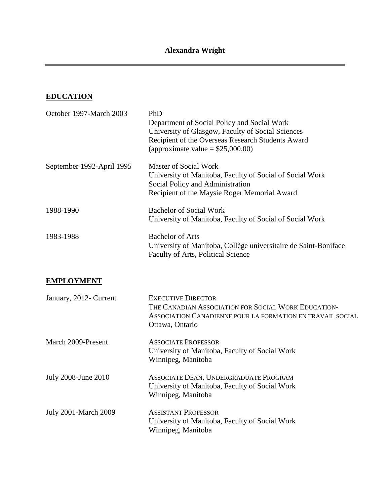#### **EDUCATION**

| October 1997-March 2003   | PhD                                                                                                          |
|---------------------------|--------------------------------------------------------------------------------------------------------------|
|                           | Department of Social Policy and Social Work                                                                  |
|                           | University of Glasgow, Faculty of Social Sciences                                                            |
|                           | Recipient of the Overseas Research Students Award                                                            |
|                           | (approximate value = $$25,000.00$ )                                                                          |
| September 1992-April 1995 | <b>Master of Social Work</b>                                                                                 |
|                           | University of Manitoba, Faculty of Social of Social Work                                                     |
|                           | Social Policy and Administration                                                                             |
|                           | Recipient of the Maysie Roger Memorial Award                                                                 |
| 1988-1990                 | <b>Bachelor of Social Work</b>                                                                               |
|                           | University of Manitoba, Faculty of Social of Social Work                                                     |
| 1983-1988                 | <b>Bachelor of Arts</b>                                                                                      |
|                           | University of Manitoba, Collège universitaire de Saint-Boniface<br><b>Faculty of Arts, Political Science</b> |
| <b>EMPLOYMENT</b>         |                                                                                                              |
| January, 2012- Current    | <b>EXECUTIVE DIRECTOR</b>                                                                                    |
|                           | THE CANADIAN ASSOCIATION FOR SOCIAL WORK EDUCATION-                                                          |
|                           | ASSOCIATION CANADIENNE POUR LA FORMATION EN TRAVAIL SOCIAL                                                   |
|                           | Ottawa, Ontario                                                                                              |

- March 2009-Present July 2008-June 2010 ASSOCIATE PROFESSOR University of Manitoba, Faculty of Social Work Winnipeg, Manitoba ASSOCIATE DEAN, UNDERGRADUATE PROGRAM
- University of Manitoba, Faculty of Social Work Winnipeg, Manitoba
- July 2001-March 2009 ASSISTANT PROFESSOR University of Manitoba, Faculty of Social Work Winnipeg, Manitoba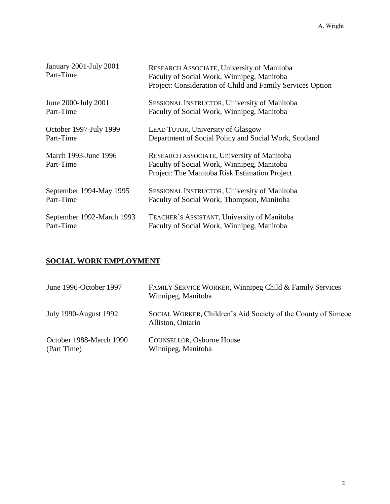| January 2001-July 2001<br>Part-Time | RESEARCH ASSOCIATE, University of Manitoba<br>Faculty of Social Work, Winnipeg, Manitoba<br>Project: Consideration of Child and Family Services Option |
|-------------------------------------|--------------------------------------------------------------------------------------------------------------------------------------------------------|
| June 2000-July 2001                 | SESSIONAL INSTRUCTOR, University of Manitoba                                                                                                           |
| Part-Time                           | Faculty of Social Work, Winnipeg, Manitoba                                                                                                             |
| October 1997-July 1999              | LEAD TUTOR, University of Glasgow                                                                                                                      |
| Part-Time                           | Department of Social Policy and Social Work, Scotland                                                                                                  |
| March 1993-June 1996<br>Part-Time   | RESEARCH ASSOCIATE, University of Manitoba<br>Faculty of Social Work, Winnipeg, Manitoba<br>Project: The Manitoba Risk Estimation Project              |
| September 1994-May 1995             | SESSIONAL INSTRUCTOR, University of Manitoba                                                                                                           |
| Part-Time                           | Faculty of Social Work, Thompson, Manitoba                                                                                                             |
| September 1992-March 1993           | TEACHER'S ASSISTANT, University of Manitoba                                                                                                            |
| Part-Time                           | Faculty of Social Work, Winnipeg, Manitoba                                                                                                             |

# **SOCIAL WORK EMPLOYMENT**

| June 1996-October 1997                 | FAMILY SERVICE WORKER, Winnipeg Child & Family Services<br>Winnipeg, Manitoba      |
|----------------------------------------|------------------------------------------------------------------------------------|
| July 1990-August 1992                  | SOCIAL WORKER, Children's Aid Society of the County of Simcoe<br>Alliston, Ontario |
| October 1988-March 1990<br>(Part Time) | <b>COUNSELLOR, Osborne House</b><br>Winnipeg, Manitoba                             |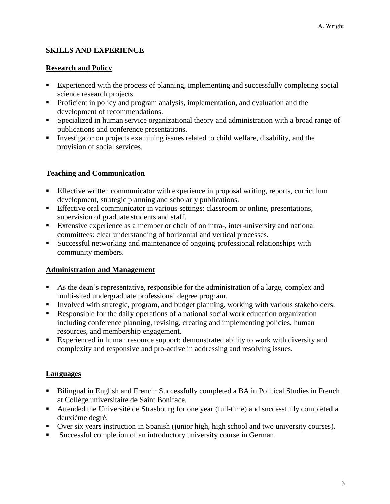### **SKILLS AND EXPERIENCE**

#### **Research and Policy**

- Experienced with the process of planning, implementing and successfully completing social science research projects.
- **Proficient in policy and program analysis, implementation, and evaluation and the** development of recommendations.
- Specialized in human service organizational theory and administration with a broad range of publications and conference presentations.
- Investigator on projects examining issues related to child welfare, disability, and the provision of social services.

### **Teaching and Communication**

- **Effective written communicator with experience in proposal writing, reports, curriculum** development, strategic planning and scholarly publications.
- Effective oral communicator in various settings: classroom or online, presentations, supervision of graduate students and staff.
- Extensive experience as a member or chair of on intra-, inter-university and national committees: clear understanding of horizontal and vertical processes.
- Successful networking and maintenance of ongoing professional relationships with community members.

### **Administration and Management**

- As the dean's representative, responsible for the administration of a large, complex and multi-sited undergraduate professional degree program.
- Involved with strategic, program, and budget planning, working with various stakeholders.
- Responsible for the daily operations of a national social work education organization including conference planning, revising, creating and implementing policies, human resources, and membership engagement.
- **Experienced in human resource support: demonstrated ability to work with diversity and** complexity and responsive and pro-active in addressing and resolving issues.

### **Languages**

- Bilingual in English and French: Successfully completed a BA in Political Studies in French at Collège universitaire de Saint Boniface.
- Attended the Université de Strasbourg for one year (full-time) and successfully completed a deuxième degré.
- Over six years instruction in Spanish (junior high, high school and two university courses).
- Successful completion of an introductory university course in German.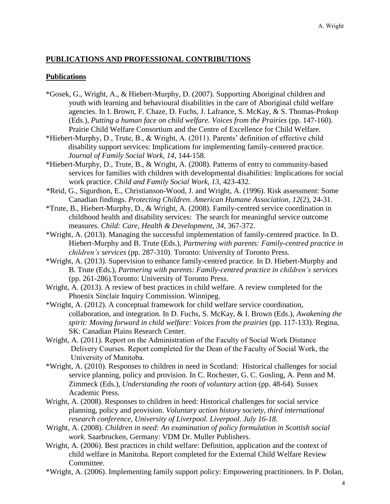### **PUBLICATIONS AND PROFESSIONAL CONTRIBUTIONS**

#### **Publications**

- \*Gosek, G., Wright, A., & Hiebert-Murphy, D. (2007). Supporting Aboriginal children and youth with learning and behavioural disabilities in the care of Aboriginal child welfare agencies. In I. Brown, F. Chaze, D. Fuchs, J. Lafrance, S. McKay, & S. Thomas-Prokop (Eds.), *Putting a human face on child welfare. Voices from the Prairies* (pp. 147-160). Prairie Child Welfare Consortium and the Centre of Excellence for Child Welfare.
- \*Hiebert-Murphy, D., Trute, B., & Wright, A. (2011). Parents' definition of effective child disability support services: Implications for implementing family-centered practice. *Journal of Family Social Work, 14*, 144-158.
- \*Hiebert-Murphy, D., Trute, B., & Wright, A. (2008). Patterns of entry to community-based services for families with children with developmental disabilities: Implications for social work practice. *Child and Family Social Work, 13*, 423-432*.*
- \*Reid, G., Sigurdson, E., Christianson-Wood, J. and Wright, A. (1996). Risk assessment: Some Canadian findings. *Protecting Children. American Humane Association, 12*(2), 24-31.
- \*Trute, B., Hiebert-Murphy, D., & Wright, A. (2008). Family-centred service coordination in childhood health and disability services: The search for meaningful service outcome measures. *Child: Care, Health & Development, 34*, 367-372.
- \*Wright, A. (2013). Managing the successful implementation of family-centered practice. In D. Hiebert-Murphy and B. Trute (Eds.), *Partnering with parents: Family-centred practice in children's services* (pp. 287-310). Toronto: University of Toronto Press.
- \*Wright, A. (2013). Supervision to enhance family-centred practice. In D. Hiebert-Murphy and B. Trute (Eds.), *Partnering with parents: Family-centred practice in children's services* (pp. 261-286).Toronto: University of Toronto Press.
- Wright, A. (2013). A review of best practices in child welfare. A review completed for the Phoenix Sinclair Inquiry Commission. Winnipeg.
- \*Wright, A. (2012). A conceptual framework for child welfare service coordination, collaboration, and integration. In D. Fuchs, S. McKay, & I. Brown (Eds.), *Awakening the spirit: Moving forward in child welfare: Voices from the prairies (pp. 117-133). Regina,* SK: Canadian Plains Research Center.
- Wright, A. (2011). Report on the Administration of the Faculty of Social Work Distance Delivery Courses. Report completed for the Dean of the Faculty of Social Work, the University of Manitoba.
- \*Wright, A. (2010). Responses to children in need in Scotland: Historical challenges for social service planning, policy and provision. In C. Rochester, G. C. Gosling, A. Penn and M. Zimmeck (Eds.), *Understanding the roots of voluntary* action (pp. 48-64). Sussex Academic Press.
- Wright, A. (2008). Responses to children in heed: Historical challenges for social service planning, policy and provision. *Voluntary action history society, third international research conference, University of Liverpool. Liverpool. July 16-18.*
- Wright, A. (2008). *Children in need: An examination of policy formulation in Scottish social work.* Saarbrucken, Germany: VDM Dr. Muller Publishers.
- Wright, A. (2006). Best practices in child welfare: Definition, application and the context of child welfare in Manitoba. Report completed for the External Child Welfare Review Committee.
- \*Wright, A. (2006). Implementing family support policy: Empowering practitioners. In P. Dolan,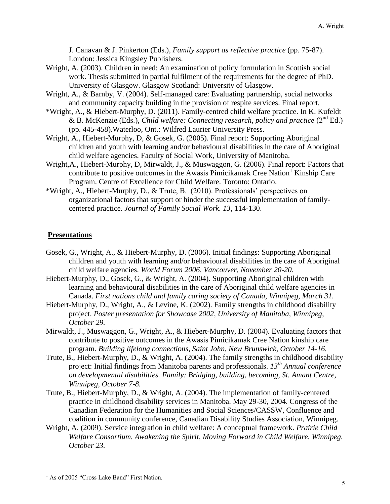J. Canavan & J. Pinkerton (Eds.), *Family support as reflective practice* (pp. 75-87). London: Jessica Kingsley Publishers.

- Wright, A. (2003). Children in need: An examination of policy formulation in Scottish social work. Thesis submitted in partial fulfilment of the requirements for the degree of PhD. University of Glasgow. Glasgow Scotland: University of Glasgow.
- Wright, A., & Barnby, V. (2004). Self-managed care: Evaluating partnership, social networks and community capacity building in the provision of respite services. Final report.
- \*Wright, A., & Hiebert-Murphy, D. (2011). Family-centred child welfare practice. In K. Kufeldt & B. McKenzie (Eds.), *Child welfare: Connecting research, policy and practice* (2nd Ed.) (pp. 445-458).Waterloo, Ont.: Wilfred Laurier University Press.
- Wright, A., Hiebert-Murphy, D, & Gosek, G. (2005). Final report: Supporting Aboriginal children and youth with learning and/or behavioural disabilities in the care of Aboriginal child welfare agencies. Faculty of Social Work, University of Manitoba.
- Wright,A., Hiebert-Murphy, D, Mirwaldt, J., & Muswaggon, G. (2006). Final report: Factors that contribute to positive outcomes in the Awasis Pimicikamak Cree Nation<sup>1</sup> Kinship Care Program. Centre of Excellence for Child Welfare. Toronto: Ontario.
- \*Wright, A., Hiebert-Murphy, D., & Trute, B. (2010). Professionals' perspectives on organizational factors that support or hinder the successful implementation of familycentered practice. *Journal of Family Social Work. 13*, 114-130.

### **Presentations**

- Gosek, G., Wright, A., & Hiebert-Murphy, D. (2006). Initial findings: Supporting Aboriginal children and youth with learning and/or behavioural disabilities in the care of Aboriginal child welfare agencies. *World Forum 2006, Vancouver, November 20-20.*
- Hiebert-Murphy, D., Gosek, G., & Wright, A. (2004). Supporting Aboriginal children with learning and behavioural disabilities in the care of Aboriginal child welfare agencies in Canada. *First nations child and family caring society of Canada, Winnipeg, March 31.*
- Hiebert-Murphy, D., Wright, A., & Levine, K. (2002). Family strengths in childhood disability project. *Poster presentation for Showcase 2002, University of Manitoba, Winnipeg, October 29.*
- Mirwaldt, J., Muswaggon, G., Wright, A., & Hiebert-Murphy, D. (2004). Evaluating factors that contribute to positive outcomes in the Awasis Pimicikamak Cree Nation kinship care program. *Building lifelong connections, Saint John, New Brunswick, October 14-16.*
- Trute, B., Hiebert-Murphy, D., & Wright, A. (2004). The family strengths in childhood disability project: Initial findings from Manitoba parents and professionals. *13th Annual conference on developmental disabilities. Family: Bridging, building, becoming, St. Amant Centre, Winnipeg, October 7-8.*
- Trute, B., Hiebert-Murphy, D., & Wright, A. (2004). The implementation of family-centered practice in childhood disability services in Manitoba. May 29-30, 2004. Congress of the Canadian Federation for the Humanities and Social Sciences/CASSW, Confluence and coalition in community conference, Canadian Disability Studies Association, Winnipeg.
- Wright, A. (2009). Service integration in child welfare: A conceptual framework. *Prairie Child Welfare Consortium. Awakening the Spirit, Moving Forward in Child Welfare. Winnipeg. October 23.*

l

 $<sup>1</sup>$  As of 2005 "Cross Lake Band" First Nation.</sup>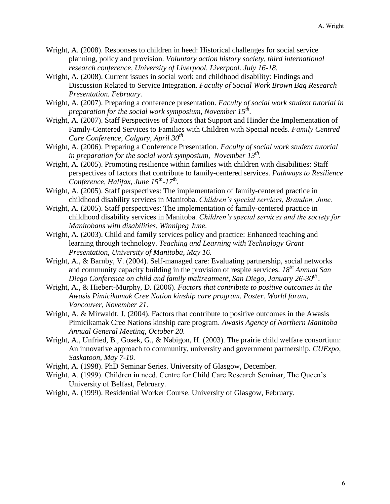- Wright, A. (2008). Responses to children in heed: Historical challenges for social service planning, policy and provision. *Voluntary action history society, third international research conference, University of Liverpool. Liverpool. July 16-18.*
- Wright, A. (2008). Current issues in social work and childhood disability: Findings and Discussion Related to Service Integration. *Faculty of Social Work Brown Bag Research Presentation. February.*
- Wright, A. (2007). Preparing a conference presentation. *Faculty of social work student tutorial in preparation for the social work symposium, November 15th .*
- Wright, A. (2007). Staff Perspectives of Factors that Support and Hinder the Implementation of Family-Centered Services to Families with Children with Special needs. *Family Centred Care Conference, Calgary, April 30th .*
- Wright, A. (2006). Preparing a Conference Presentation. *Faculty of social work student tutorial in preparation for the social work symposium, November 13th .*
- Wright, A. (2005). Promoting resilience within families with children with disabilities: Staff perspectives of factors that contribute to family-centered services. *Pathways to Resilience Conference, Halifax, June 15th -17<sup>t</sup>*<sup>h</sup> .
- Wright, A. (2005). Staff perspectives: The implementation of family-centered practice in childhood disability services in Manitoba. *Children's special services, Brandon, June.*
- Wright, A. (2005). Staff perspectives: The implementation of family-centered practice in childhood disability services in Manitoba. *Children's special services and the society for Manitobans with disabilities, Winnipeg June.*
- Wright, A. (2003). Child and family services policy and practice: Enhanced teaching and learning through technology. *Teaching and Learning with Technology Grant Presentation, University of Manitoba, May 16.*
- Wright, A., & Barnby, V. (2004). Self-managed care: Evaluating partnership, social networks and community capacity building in the provision of respite services. *18th Annual San Diego Conference on child and family maltreatment, San Diego, January 26-30th .*
- Wright, A., & Hiebert-Murphy, D. (2006). *Factors that contribute to positive outcomes in the Awasis Pimicikamak Cree Nation kinship care program. Poster. World forum, Vancouver, November 21.*
- Wright, A. & Mirwaldt, J. (2004). Factors that contribute to positive outcomes in the Awasis Pimicikamak Cree Nations kinship care program. *Awasis Agency of Northern Manitoba Annual General Meeting, October 20.*
- Wright, A., Unfried, B., Gosek, G., & Nabigon, H. (2003). The prairie child welfare consortium: An innovative approach to community, university and government partnership. *CUExpo, Saskatoon, May 7-10.*
- Wright, A. (1998). PhD Seminar Series. University of Glasgow, December.
- Wright, A. (1999). Children in need. Centre for Child Care Research Seminar, The Queen's University of Belfast, February.
- Wright, A. (1999). Residential Worker Course. University of Glasgow, February.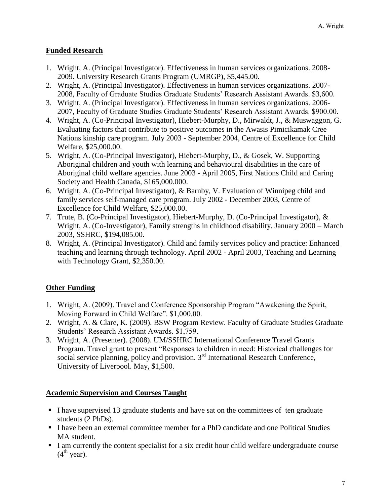### **Funded Research**

- 1. Wright, A. (Principal Investigator). Effectiveness in human services organizations. 2008- 2009. University Research Grants Program (UMRGP), \$5,445.00.
- 2. Wright, A. (Principal Investigator). Effectiveness in human services organizations. 2007- 2008, Faculty of Graduate Studies Graduate Students' Research Assistant Awards. \$3,600.
- 3. Wright, A. (Principal Investigator). Effectiveness in human services organizations. 2006- 2007, Faculty of Graduate Studies Graduate Students' Research Assistant Awards. \$900.00.
- 4. Wright, A. (Co-Principal Investigator), Hiebert-Murphy, D., Mirwaldt, J., & Muswaggon, G. Evaluating factors that contribute to positive outcomes in the Awasis Pimicikamak Cree Nations kinship care program. July 2003 - September 2004, Centre of Excellence for Child Welfare, \$25,000.00.
- 5. Wright, A. (Co-Principal Investigator), Hiebert-Murphy, D., & Gosek, W. Supporting Aboriginal children and youth with learning and behavioural disabilities in the care of Aboriginal child welfare agencies. June 2003 - April 2005, First Nations Child and Caring Society and Health Canada, \$165,000.000.
- 6. Wright, A. (Co-Principal Investigator), & Barnby, V. Evaluation of Winnipeg child and family services self-managed care program. July 2002 - December 2003, Centre of Excellence for Child Welfare, \$25,000.00.
- 7. Trute, B. (Co-Principal Investigator), Hiebert-Murphy, D. (Co-Principal Investigator), & Wright, A. (Co-Investigator), Family strengths in childhood disability. January 2000 – March 2003, SSHRC, \$194,085.00.
- 8. Wright, A. (Principal Investigator). Child and family services policy and practice: Enhanced teaching and learning through technology. April 2002 - April 2003, Teaching and Learning with Technology Grant, \$2,350.00.

## **Other Funding**

- 1. Wright, A. (2009). Travel and Conference Sponsorship Program "Awakening the Spirit, Moving Forward in Child Welfare". \$1,000.00.
- 2. Wright, A. & Clare, K. (2009). BSW Program Review. Faculty of Graduate Studies Graduate Students' Research Assistant Awards. \$1,759.
- 3. Wright, A. (Presenter). (2008). UM/SSHRC International Conference Travel Grants Program. Travel grant to present "Responses to children in need: Historical challenges for social service planning, policy and provision.  $3<sup>rd</sup>$  International Research Conference, University of Liverpool. May, \$1,500.

### **Academic Supervision and Courses Taught**

- I have supervised 13 graduate students and have sat on the committees of ten graduate students (2 PhDs).
- I have been an external committee member for a PhD candidate and one Political Studies MA student.
- I am currently the content specialist for a six credit hour child welfare undergraduate course  $(4<sup>th</sup>$  year).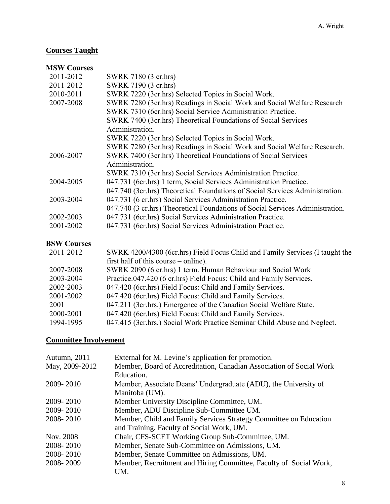# **Courses Taught**

### **MSW Courses**

| 2011-2012          | SWRK 7180 (3 cr.hrs)                                                          |
|--------------------|-------------------------------------------------------------------------------|
| 2011-2012          | SWRK 7190 (3 cr.hrs)                                                          |
| 2010-2011          | SWRK 7220 (3cr.hrs) Selected Topics in Social Work.                           |
| 2007-2008          | SWRK 7280 (3cr.hrs) Readings in Social Work and Social Welfare Research       |
|                    | SWRK 7310 (6cr.hrs) Social Service Administration Practice.                   |
|                    | SWRK 7400 (3cr.hrs) Theoretical Foundations of Social Services                |
|                    | Administration.                                                               |
|                    | SWRK 7220 (3cr.hrs) Selected Topics in Social Work.                           |
|                    | SWRK 7280 (3cr.hrs) Readings in Social Work and Social Welfare Research.      |
| 2006-2007          | SWRK 7400 (3cr.hrs) Theoretical Foundations of Social Services                |
|                    | Administration.                                                               |
|                    | SWRK 7310 (3cr.hrs) Social Services Administration Practice.                  |
| 2004-2005          | 047.731 (6cr.hrs) 1 term, Social Services Administration Practice.            |
|                    | 047.740 (3cr.hrs) Theoretical Foundations of Social Services Administration.  |
| 2003-2004          | 047.731 (6 cr.hrs) Social Services Administration Practice.                   |
|                    | 047.740 (3 cr.hrs) Theoretical Foundations of Social Services Administration. |
| 2002-2003          | 047.731 (6cr.hrs) Social Services Administration Practice.                    |
| 2001-2002          | 047.731 (6cr.hrs) Social Services Administration Practice.                    |
| <b>BSW Courses</b> |                                                                               |
| 2011-2012          | SWRK 4200/4300 (6cr.hrs) Field Focus Child and Family Services (I taught the  |
|                    | first half of this course – online).                                          |
| 2007-2008          | SWRK 2090 (6 cr.hrs) 1 term. Human Behaviour and Social Work                  |
| 2003-2004          | Practice.047.420 (6 cr.hrs) Field Focus: Child and Family Services.           |
| 2002-2003          | 047.420 (6cr.hrs) Field Focus: Child and Family Services.                     |
| 2001-2002          | 047.420 (6cr.hrs) Field Focus: Child and Family Services.                     |
| 2001               | 047.211 (3cr.hrs.) Emergence of the Canadian Social Welfare State.            |
| 2000-2001          | 047.420 (6cr.hrs) Field Focus: Child and Family Services.                     |

#### 1994-1995 047.415 (3cr.hrs.) Social Work Practice Seminar Child Abuse and Neglect.

# **Committee Involvement**

| Autumn, 2011   | External for M. Levine's application for promotion.                 |
|----------------|---------------------------------------------------------------------|
| May, 2009-2012 | Member, Board of Accreditation, Canadian Association of Social Work |
|                | Education.                                                          |
| 2009-2010      | Member, Associate Deans' Undergraduate (ADU), the University of     |
|                | Manitoba (UM).                                                      |
| 2009-2010      | Member University Discipline Committee, UM.                         |
| 2009-2010      | Member, ADU Discipline Sub-Committee UM.                            |
| 2008-2010      | Member, Child and Family Services Strategy Committee on Education   |
|                | and Training, Faculty of Social Work, UM.                           |
| Nov. 2008      | Chair, CFS-SCET Working Group Sub-Committee, UM.                    |
| 2008-2010      | Member, Senate Sub-Committee on Admissions, UM.                     |
| 2008-2010      | Member, Senate Committee on Admissions, UM.                         |
| 2008-2009      | Member, Recruitment and Hiring Committee, Faculty of Social Work,   |
|                | UM.                                                                 |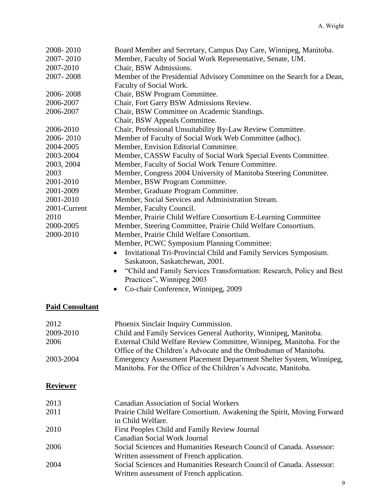| 2008-2010              | Board Member and Secretary, Campus Day Care, Winnipeg, Manitoba.              |
|------------------------|-------------------------------------------------------------------------------|
| 2007-2010              | Member, Faculty of Social Work Representative, Senate, UM.                    |
| 2007-2010              | Chair, BSW Admissions.                                                        |
| 2007-2008              | Member of the Presidential Advisory Committee on the Search for a Dean,       |
|                        | Faculty of Social Work.                                                       |
| 2006-2008              | Chair, BSW Program Committee.                                                 |
| 2006-2007              | Chair, Fort Garry BSW Admissions Review.                                      |
| 2006-2007              | Chair, BSW Committee on Academic Standings.                                   |
|                        | Chair, BSW Appeals Committee.                                                 |
| 2006-2010              | Chair, Professional Unsuitability By-Law Review Committee.                    |
| 2006-2010              | Member of Faculty of Social Work Web Committee (adhoc).                       |
| 2004-2005              | Member, Envision Editorial Committee.                                         |
| 2003-2004              | Member, CASSW Faculty of Social Work Special Events Committee.                |
| 2003, 2004             | Member, Faculty of Social Work Tenure Committee.                              |
| 2003                   | Member, Congress 2004 University of Manitoba Steering Committee.              |
| 2001-2010              | Member, BSW Program Committee.                                                |
| 2001-2009              | Member, Graduate Program Committee.                                           |
| 2001-2010              | Member, Social Services and Administration Stream.                            |
| 2001-Current           | Member, Faculty Council.                                                      |
| 2010                   | Member, Prairie Child Welfare Consortium E-Learning Committee                 |
| 2000-2005              | Member, Steering Committee, Prairie Child Welfare Consortium.                 |
| 2000-2010              | Member, Prairie Child Welfare Consortium.                                     |
|                        | Member, PCWC Symposium Planning Committee:                                    |
|                        | Invitational Tri-Provincial Child and Family Services Symposium.<br>$\bullet$ |
|                        | Saskatoon, Saskatchewan, 2001.                                                |
|                        | "Child and Family Services Transformation: Research, Policy and Best          |
|                        | Practices", Winnipeg 2003                                                     |
|                        | Co-chair Conference, Winnipeg, 2009                                           |
|                        |                                                                               |
| <b>Paid Consultant</b> |                                                                               |
|                        |                                                                               |
| 2012                   | Phoenix Sinclair Inquiry Commission.                                          |
| 2009-2010              | Child and Family Services General Authority, Winnipeg, Manitoba.              |
| 2006                   | External Child Welfare Review Committee, Winnipeg, Manitoba. For the          |
|                        | Office of the Children's Advocate and the Ombudsman of Manitoba.              |
| 2003-2004              | Emergency Assessment Placement Department Shelter System, Winnipeg,           |
|                        | Manitoba. For the Office of the Children's Advocate, Manitoba.                |
|                        |                                                                               |
| <b>Reviewer</b>        |                                                                               |
|                        |                                                                               |
| 2013                   | <b>Canadian Association of Social Workers</b>                                 |
| 2011                   | Prairie Child Welfare Consortium. Awakening the Spirit, Moving Forward        |
|                        | in Child Welfare.                                                             |

2010 First Peoples Child and Family Review Journal

Canadian Social Work Journal

2006 Social Sciences and Humanities Research Council of Canada. Assessor: Written assessment of French application.

2004 Social Sciences and Humanities Research Council of Canada. Assessor: Written assessment of French application.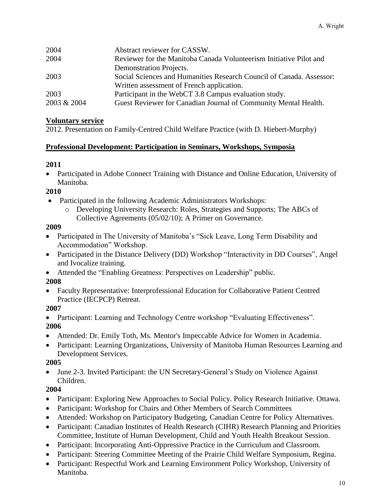| 2004        | Abstract reviewer for CASSW.                                         |
|-------------|----------------------------------------------------------------------|
| 2004        | Reviewer for the Manitoba Canada Volunteerism Initiative Pilot and   |
|             | Demonstration Projects.                                              |
| 2003        | Social Sciences and Humanities Research Council of Canada. Assessor: |
|             | Written assessment of French application.                            |
| 2003        | Participant in the WebCT 3.8 Campus evaluation study.                |
| 2003 & 2004 | Guest Reviewer for Canadian Journal of Community Mental Health.      |

#### **Voluntary service**

2012. Presentation on Family-Centred Child Welfare Practice (with D. Hiebert-Murphy)

#### **Professional Development: Participation in Seminars, Workshops, Symposia**

### **2011**

 Participated in Adobe Connect Training with Distance and Online Education, University of Manitoba.

### **2010**

- Participated in the following Academic Administrators Workshops:
	- o Developing University Research: Roles, Strategies and Supports; The ABCs of Collective Agreements (05/02/10); A Primer on Governance.

#### **2009**

- Participated in The University of Manitoba's "Sick Leave, Long Term Disability and Accommodation" Workshop.
- Participated in the Distance Delivery (DD) Workshop "Interactivity in DD Courses", Angel and Ivocalize training.
- Attended the "Enabling Greatness: Perspectives on Leadership" public.

### **2008**

 Faculty Representative: Interprofessional Education for Collaborative Patient Centred Practice (IECPCP) Retreat.

### **2007**

• Participant: Learning and Technology Centre workshop "Evaluating Effectiveness". **2006**

- Attended: Dr. Emily Toth, Ms. Mentor's Impeccable Advice for Women in Academia.
- Participant: Learning Organizations, University of Manitoba Human Resources Learning and Development Services.

### **2005**

 June 2-3. Invited Participant: the UN Secretary-General's Study on Violence Against Children.

### **2004**

- Participant: Exploring New Approaches to Social Policy. Policy Research Initiative. Ottawa.
- Participant: Workshop for Chairs and Other Members of Search Committees
- Attended: Workshop on Participatory Budgeting, Canadian Centre for Policy Alternatives.
- Participant: Canadian Institutes of Health Research (CIHR) Research Planning and Priorities Committee, Institute of Human Development, Child and Youth Health Breakout Session.
- Participant: Incorporating Anti-Oppressive Practice in the Curriculum and Classroom.
- Participant: Steering Committee Meeting of the Prairie Child Welfare Symposium, Regina.
- Participant: Respectful Work and Learning Environment Policy Workshop, University of Manitoba.